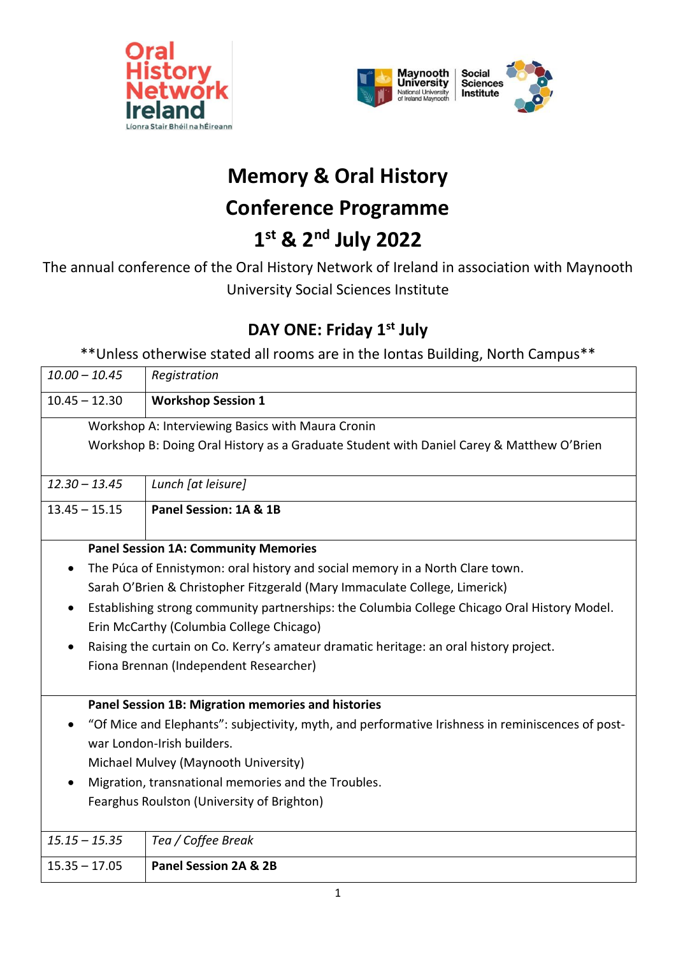



# **Memory & Oral History**

## **Conference Programme**

## **1 st & 2nd July 2022**

The annual conference of the Oral History Network of Ireland in association with Maynooth University Social Sciences Institute

### **DAY ONE: Friday 1 st July**

\*\*Unless otherwise stated all rooms are in the Iontas Building, North Campus\*\*

| $10.00 - 10.45$ |                                                                                                   | Registration                                                                                 |  |  |  |
|-----------------|---------------------------------------------------------------------------------------------------|----------------------------------------------------------------------------------------------|--|--|--|
| $10.45 - 12.30$ |                                                                                                   | <b>Workshop Session 1</b>                                                                    |  |  |  |
|                 | Workshop A: Interviewing Basics with Maura Cronin                                                 |                                                                                              |  |  |  |
|                 | Workshop B: Doing Oral History as a Graduate Student with Daniel Carey & Matthew O'Brien          |                                                                                              |  |  |  |
|                 |                                                                                                   |                                                                                              |  |  |  |
| $12.30 - 13.45$ |                                                                                                   | Lunch [at leisure]                                                                           |  |  |  |
| $13.45 - 15.15$ |                                                                                                   | Panel Session: 1A & 1B                                                                       |  |  |  |
|                 |                                                                                                   |                                                                                              |  |  |  |
|                 | <b>Panel Session 1A: Community Memories</b>                                                       |                                                                                              |  |  |  |
|                 | The Púca of Ennistymon: oral history and social memory in a North Clare town.                     |                                                                                              |  |  |  |
|                 |                                                                                                   | Sarah O'Brien & Christopher Fitzgerald (Mary Immaculate College, Limerick)                   |  |  |  |
|                 |                                                                                                   | Establishing strong community partnerships: the Columbia College Chicago Oral History Model. |  |  |  |
|                 |                                                                                                   | Erin McCarthy (Columbia College Chicago)                                                     |  |  |  |
|                 |                                                                                                   | Raising the curtain on Co. Kerry's amateur dramatic heritage: an oral history project.       |  |  |  |
|                 |                                                                                                   | Fiona Brennan (Independent Researcher)                                                       |  |  |  |
|                 |                                                                                                   |                                                                                              |  |  |  |
|                 |                                                                                                   | Panel Session 1B: Migration memories and histories                                           |  |  |  |
|                 | "Of Mice and Elephants": subjectivity, myth, and performative Irishness in reminiscences of post- |                                                                                              |  |  |  |
|                 | war London-Irish builders.                                                                        |                                                                                              |  |  |  |
|                 | Michael Mulvey (Maynooth University)                                                              |                                                                                              |  |  |  |
|                 | Migration, transnational memories and the Troubles.                                               |                                                                                              |  |  |  |
|                 | Fearghus Roulston (University of Brighton)                                                        |                                                                                              |  |  |  |
|                 |                                                                                                   |                                                                                              |  |  |  |
| $15.15 - 15.35$ |                                                                                                   | Tea / Coffee Break                                                                           |  |  |  |
| $15.35 - 17.05$ |                                                                                                   | Panel Session 2A & 2B                                                                        |  |  |  |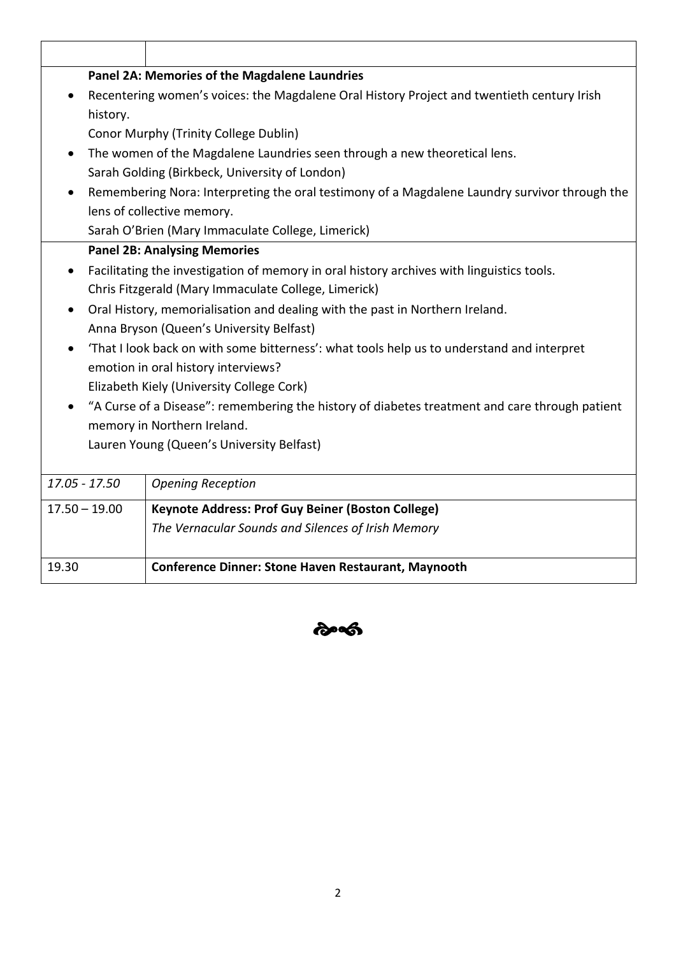| Panel 2A: Memories of the Magdalene Laundries |                                                                                                |  |  |  |
|-----------------------------------------------|------------------------------------------------------------------------------------------------|--|--|--|
|                                               | Recentering women's voices: the Magdalene Oral History Project and twentieth century Irish     |  |  |  |
| history.                                      |                                                                                                |  |  |  |
|                                               | Conor Murphy (Trinity College Dublin)                                                          |  |  |  |
| $\bullet$                                     | The women of the Magdalene Laundries seen through a new theoretical lens.                      |  |  |  |
|                                               | Sarah Golding (Birkbeck, University of London)                                                 |  |  |  |
|                                               | Remembering Nora: Interpreting the oral testimony of a Magdalene Laundry survivor through the  |  |  |  |
|                                               | lens of collective memory.                                                                     |  |  |  |
|                                               | Sarah O'Brien (Mary Immaculate College, Limerick)                                              |  |  |  |
|                                               | <b>Panel 2B: Analysing Memories</b>                                                            |  |  |  |
|                                               | Facilitating the investigation of memory in oral history archives with linguistics tools.      |  |  |  |
|                                               | Chris Fitzgerald (Mary Immaculate College, Limerick)                                           |  |  |  |
| $\bullet$                                     | Oral History, memorialisation and dealing with the past in Northern Ireland.                   |  |  |  |
|                                               | Anna Bryson (Queen's University Belfast)                                                       |  |  |  |
|                                               | 'That I look back on with some bitterness': what tools help us to understand and interpret     |  |  |  |
|                                               | emotion in oral history interviews?                                                            |  |  |  |
|                                               | Elizabeth Kiely (University College Cork)                                                      |  |  |  |
|                                               | "A Curse of a Disease": remembering the history of diabetes treatment and care through patient |  |  |  |
|                                               | memory in Northern Ireland.                                                                    |  |  |  |
|                                               | Lauren Young (Queen's University Belfast)                                                      |  |  |  |
|                                               |                                                                                                |  |  |  |
| $17.05 - 17.50$                               | <b>Opening Reception</b>                                                                       |  |  |  |
| $17.50 - 19.00$                               | Keynote Address: Prof Guy Beiner (Boston College)                                              |  |  |  |
|                                               | The Vernacular Sounds and Silences of Irish Memory                                             |  |  |  |
|                                               |                                                                                                |  |  |  |
| 19.30                                         | <b>Conference Dinner: Stone Haven Restaurant, Maynooth</b>                                     |  |  |  |

 $\hat{\mathbf{c}}$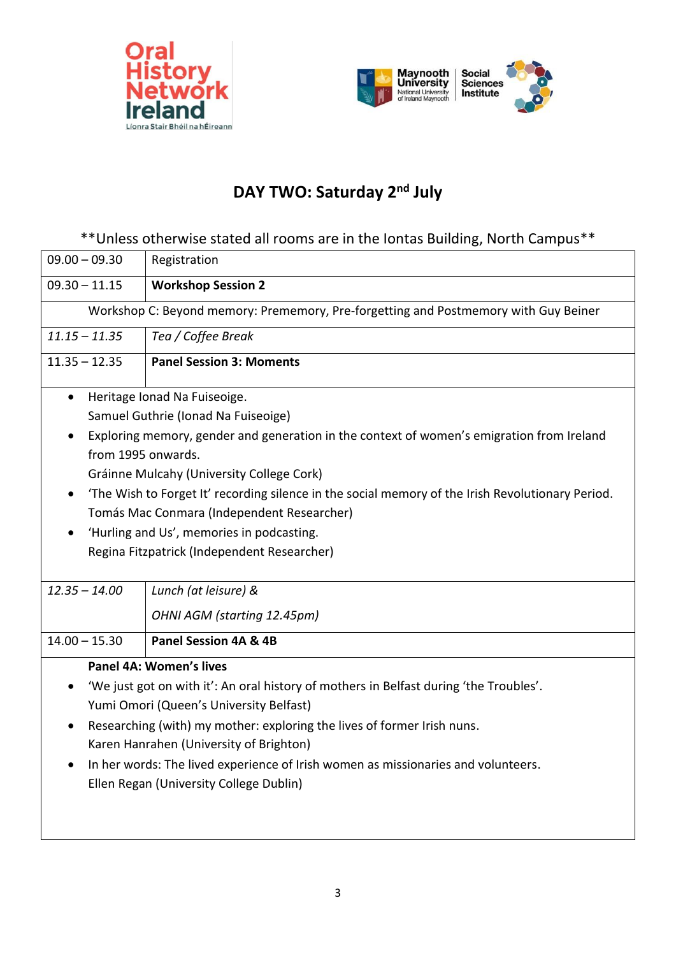



### **DAY TWO: Saturday 2nd July**

#### \*\*Unless otherwise stated all rooms are in the Iontas Building, North Campus\*\*

| $09.00 - 09.30$                                                                                   | Registration                                                                              |  |  |  |  |
|---------------------------------------------------------------------------------------------------|-------------------------------------------------------------------------------------------|--|--|--|--|
| $09.30 - 11.15$                                                                                   | <b>Workshop Session 2</b>                                                                 |  |  |  |  |
| Workshop C: Beyond memory: Prememory, Pre-forgetting and Postmemory with Guy Beiner               |                                                                                           |  |  |  |  |
| $11.15 - 11.35$                                                                                   | Tea / Coffee Break                                                                        |  |  |  |  |
| $11.35 - 12.35$                                                                                   | <b>Panel Session 3: Moments</b>                                                           |  |  |  |  |
| $\bullet$                                                                                         | Heritage Ionad Na Fuiseoige.                                                              |  |  |  |  |
|                                                                                                   | Samuel Guthrie (Ionad Na Fuiseoige)                                                       |  |  |  |  |
|                                                                                                   | Exploring memory, gender and generation in the context of women's emigration from Ireland |  |  |  |  |
|                                                                                                   | from 1995 onwards.                                                                        |  |  |  |  |
|                                                                                                   | Gráinne Mulcahy (University College Cork)                                                 |  |  |  |  |
| 'The Wish to Forget It' recording silence in the social memory of the Irish Revolutionary Period. |                                                                                           |  |  |  |  |
| Tomás Mac Conmara (Independent Researcher)                                                        |                                                                                           |  |  |  |  |
|                                                                                                   | 'Hurling and Us', memories in podcasting.                                                 |  |  |  |  |
|                                                                                                   | Regina Fitzpatrick (Independent Researcher)                                               |  |  |  |  |
|                                                                                                   |                                                                                           |  |  |  |  |
| $12.35 - 14.00$                                                                                   | Lunch (at leisure) &                                                                      |  |  |  |  |
|                                                                                                   | OHNI AGM (starting 12.45pm)                                                               |  |  |  |  |
| $14.00 - 15.30$                                                                                   | Panel Session 4A & 4B                                                                     |  |  |  |  |
|                                                                                                   | Panel 4A: Women's lives                                                                   |  |  |  |  |
| 'We just got on with it': An oral history of mothers in Belfast during 'the Troubles'.            |                                                                                           |  |  |  |  |
| Yumi Omori (Queen's University Belfast)                                                           |                                                                                           |  |  |  |  |
| Researching (with) my mother: exploring the lives of former Irish nuns.                           |                                                                                           |  |  |  |  |
| Karen Hanrahen (University of Brighton)                                                           |                                                                                           |  |  |  |  |
|                                                                                                   | In her words: The lived experience of Irish women as missionaries and volunteers.         |  |  |  |  |
|                                                                                                   | Ellen Regan (University College Dublin)                                                   |  |  |  |  |
|                                                                                                   |                                                                                           |  |  |  |  |
|                                                                                                   |                                                                                           |  |  |  |  |